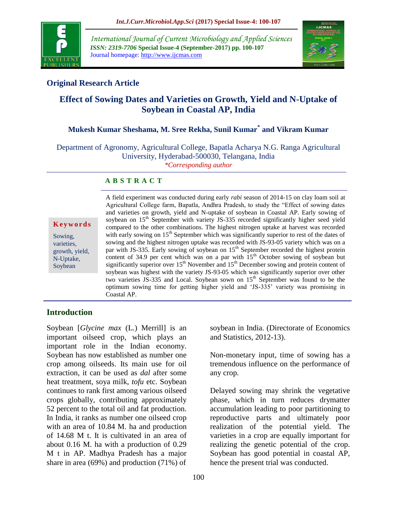

*International Journal of Current Microbiology and Applied Sciences ISSN: 2319-7706* **Special Issue-4 (September-2017) pp. 100-107** Journal homepage: http://www.ijcmas.com



## **Original Research Article**

# **Effect of Sowing Dates and Varieties on Growth, Yield and N-Uptake of Soybean in Coastal AP, India**

## **Mukesh Kumar Sheshama, M. Sree Rekha, Sunil Kumar\* and Vikram Kumar**

Department of Agronomy, Agricultural College, Bapatla Acharya N.G. Ranga Agricultural University, Hyderabad-500030, Telangana, India *\*Corresponding author*

#### **A B S T R A C T**

**K e y w o r d s**

Sowing, varieties, growth, yield, N-Uptake, Soybean

A field experiment was conducted during early *rabi* season of 2014-15 on clay loam soil at Agricultural College farm, Bapatla, Andhra Pradesh, to study the "Effect of sowing dates and varieties on growth, yield and N-uptake of soybean in Coastal AP. Early sowing of soybean on 15<sup>th</sup> September with variety JS-335 recorded significantly higher seed yield compared to the other combinations. The highest nitrogen uptake at harvest was recorded with early sowing on  $15<sup>th</sup>$  September which was significantly superior to rest of the dates of sowing and the highest nitrogen uptake was recorded with JS-93-05 variety which was on a par with JS-335. Early sowing of soybean on 15<sup>th</sup> September recorded the highest protein content of 34.9 per cent which was on a par with  $15<sup>th</sup>$  October sowing of soybean but significantly superior over  $15<sup>th</sup>$  November and  $15<sup>th</sup>$  December sowing and protein content of soybean was highest with the variety JS-93-05 which was significantly superior over other two varieties JS-335 and Local. Soybean sown on 15<sup>th</sup> September was found to be the optimum sowing time for getting higher yield and 'JS-335' variety was promising in Coastal AP.

### **Introduction**

Soybean [*Glycine max* (L.) Merrill] is an important oilseed crop, which plays an important role in the Indian economy. Soybean has now established as number one crop among oilseeds. Its main use for oil extraction, it can be used as *dal* after some heat treatment, soya milk, *tofu* etc. Soybean continues to rank first among various oilseed crops globally, contributing approximately 52 percent to the total oil and fat production. In India, it ranks as number one oilseed crop with an area of 10.84 M. ha and production of 14.68 M t. It is cultivated in an area of about 0.16 M. ha with a production of 0.29 M t in AP. Madhya Pradesh has a major share in area (69%) and production (71%) of

soybean in India. (Directorate of Economics and Statistics, 2012-13).

Non-monetary input, time of sowing has a tremendous influence on the performance of any crop.

Delayed sowing may shrink the vegetative phase, which in turn reduces drymatter accumulation leading to poor partitioning to reproductive parts and ultimately poor realization of the potential yield. The varieties in a crop are equally important for realizing the genetic potential of the crop. Soybean has good potential in coastal AP, hence the present trial was conducted.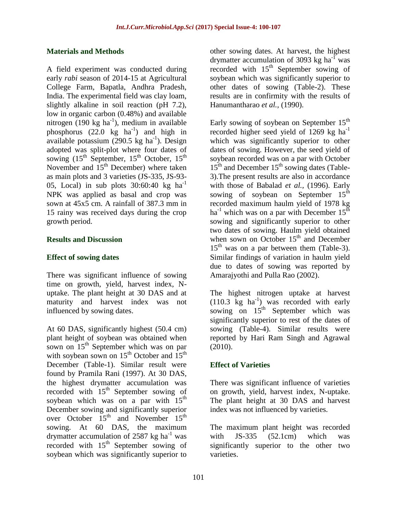#### **Materials and Methods**

A field experiment was conducted during early *rabi* season of 2014-15 at Agricultural College Farm, Bapatla, Andhra Pradesh, India. The experimental field was clay loam, slightly alkaline in soil reaction (pH 7.2), low in organic carbon (0.48%) and available nitrogen  $(190 \text{ kg ha}^{-1})$ , medium in available phosphorus  $(22.0 \text{ kg} \text{ ha}^{-1})$  and high in available potassium  $(290.5 \text{ kg ha}^{-1})$ . Design adopted was split-plot where four dates of sowing  $(15^{th}$  September,  $15^{th}$  October,  $15^{th}$ November and 15<sup>th</sup> December) where taken as main plots and 3 varieties (JS-335, JS-93- 05, Local) in sub plots  $30:60:40 \text{ kg}$  ha<sup>-1</sup> NPK was applied as basal and crop was sown at 45x5 cm. A rainfall of 387.3 mm in 15 rainy was received days during the crop growth period.

#### **Results and Discussion**

#### **Effect of sowing dates**

There was significant influence of sowing time on growth, yield, harvest index, Nuptake. The plant height at 30 DAS and at maturity and harvest index was not influenced by sowing dates.

At 60 DAS, significantly highest (50.4 cm) plant height of soybean was obtained when sown on 15<sup>th</sup> September which was on par with soybean sown on  $15^{th}$  October and  $15^{th}$ December (Table-1). Similar result were found by Pramila Rani (1997). At 30 DAS, the highest drymatter accumulation was recorded with 15<sup>th</sup> September sowing of soybean which was on a par with  $15<sup>th</sup>$ December sowing and significantly superior over October 15<sup>th</sup> and November 15<sup>th</sup> sowing. At 60 DAS, the maximum drymatter accumulation of 2587 kg ha<sup>-1</sup> was recorded with 15<sup>th</sup> September sowing of soybean which was significantly superior to

other sowing dates. At harvest, the highest drymatter accumulation of 3093 kg ha<sup>-1</sup> was recorded with  $15<sup>th</sup>$  September sowing of soybean which was significantly superior to other dates of sowing (Table-2). These results are in confirmity with the results of Hanumantharao *et al.,* (1990).

Early sowing of soybean on September  $15<sup>th</sup>$ recorded higher seed yield of 1269 kg  $ha^{-1}$ which was significantly superior to other dates of sowing. However, the seed yield of soybean recorded was on a par with October  $15<sup>th</sup>$  and December  $15<sup>th</sup>$  sowing dates (Table-3).The present results are also in accordance with those of Babalad *et al.,* (1996). Early sowing of soybean on September  $15<sup>th</sup>$ recorded maximum haulm yield of 1978 kg ha<sup>-1</sup> which was on a par with December  $15^{th}$ sowing and significantly superior to other two dates of sowing. Haulm yield obtained when sown on October  $15<sup>th</sup>$  and December  $15<sup>th</sup>$  was on a par between them (Table-3). Similar findings of variation in haulm yield due to dates of sowing was reported by Amarajyothi and Pulla Rao (2002).

The highest nitrogen uptake at harvest  $(110.3 \text{ kg} \text{ ha}^{-1})$  was recorded with early sowing on  $15<sup>th</sup>$  September which was significantly superior to rest of the dates of sowing (Table-4). Similar results were reported by Hari Ram Singh and Agrawal (2010).

### **Effect of Varieties**

There was significant influence of varieties on growth, yield, harvest index, N-uptake. The plant height at 30 DAS and harvest index was not influenced by varieties.

The maximum plant height was recorded with JS-335 (52.1cm) which was significantly superior to the other two varieties.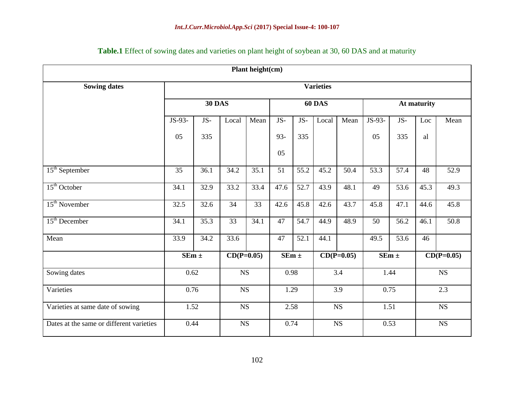| Plant height(cm)                         |                  |      |              |      |               |      |                                |      |             |                   |              |      |
|------------------------------------------|------------------|------|--------------|------|---------------|------|--------------------------------|------|-------------|-------------------|--------------|------|
| <b>Sowing dates</b>                      | <b>Varieties</b> |      |              |      |               |      |                                |      |             |                   |              |      |
|                                          | <b>30 DAS</b>    |      |              |      | <b>60 DAS</b> |      |                                |      | At maturity |                   |              |      |
|                                          | JS-93-           | JS-  | Local        | Mean | JS-           | JS-  | Local                          | Mean | $JS-93-$    | JS-               | Loc          | Mean |
|                                          | 05               | 335  |              |      | 93-           | 335  |                                |      | 05          | 335               | al           |      |
|                                          |                  |      |              |      | 05            |      |                                |      |             |                   |              |      |
| $15th$ September                         | 35               | 36.1 | 34.2         | 35.1 | 51            | 55.2 | 45.2                           | 50.4 | 53.3        | 57.4              | 48           | 52.9 |
| $15th$ October                           | 34.1             | 32.9 | 33.2         | 33.4 | 47.6          | 52.7 | 43.9                           | 48.1 | 49          | 53.6              | 45.3         | 49.3 |
| $15th$ November                          | 32.5             | 32.6 | 34           | 33   | 42.6          | 45.8 | 42.6                           | 43.7 | 45.8        | 47.1              | 44.6         | 45.8 |
| $15th$ December                          | 34.1             | 35.3 | 33           | 34.1 | 47            | 54.7 | 44.9                           | 48.9 | 50          | 56.2              | 46.1         | 50.8 |
| Mean                                     | 33.9             | 34.2 | 33.6         |      | 47            | 52.1 | 44.1                           |      | 49.5        | $\overline{53.6}$ | 46           |      |
|                                          | $SEm \pm$        |      | $CD(P=0.05)$ |      | $SEm \pm$     |      | $\overline{\text{CD}(P=0.05)}$ |      | $SEm \pm$   |                   | $CD(P=0.05)$ |      |
| Sowing dates                             | 0.62             |      | $_{\rm NS}$  |      | 0.98          |      | 3.4                            |      | 1.44        |                   | $_{\rm NS}$  |      |
| Varieties                                | 0.76             |      | <b>NS</b>    |      | 1.29          |      | 3.9                            |      | 0.75        |                   | 2.3          |      |
| Varieties at same date of sowing         | 1.52             |      | <b>NS</b>    |      | 2.58          |      | NS                             |      | 1.51        |                   | $_{\rm NS}$  |      |
| Dates at the same or different varieties | 0.44             |      | <b>NS</b>    |      | 0.74          |      | NS                             |      | 0.53        |                   | $_{\rm NS}$  |      |

## **Table.1** Effect of sowing dates and varieties on plant height of soybean at 30, 60 DAS and at maturity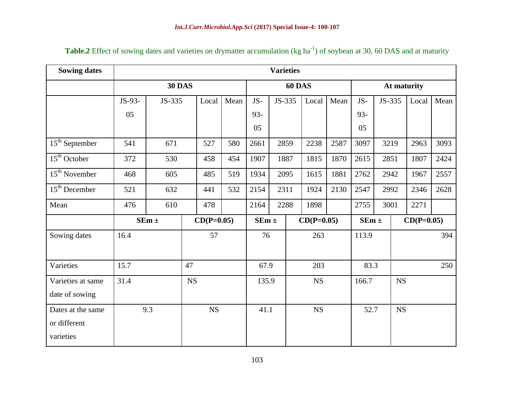| <b>Sowing dates</b> | <b>Varieties</b> |                           |           |      |             |                           |             |           |       |        |              |       |      |
|---------------------|------------------|---------------------------|-----------|------|-------------|---------------------------|-------------|-----------|-------|--------|--------------|-------|------|
|                     |                  | <b>30 DAS</b>             |           |      | At maturity |                           |             |           |       |        |              |       |      |
|                     | JS-93-           | JS-335                    | Local     | Mean | JS-         | JS-335                    | Local       | Mean      | JS-   | JS-335 |              | Local | Mean |
|                     | 05               |                           |           |      | 93-         |                           |             |           | 93-   |        |              |       |      |
|                     |                  |                           |           |      | 05          |                           |             |           | 05    |        |              |       |      |
| $15th$ September    | 541              | 671                       | 527       | 580  | 2661        | 2859                      | 2238        | 2587      | 3097  | 3219   |              | 2963  | 3093 |
| $15th$ October      | 372              | 530                       | 458       | 454  | 1907        | 1887                      | 1815        | 1870      | 2615  | 2851   |              | 1807  | 2424 |
| $15th$ November     | 468              | 605                       | 485       | 519  | 1934        | 2095                      | 1615        | 1881      | 2762  | 2942   |              | 1967  | 2557 |
| $15th$ December     | 521              | 632                       | 441       | 532  | 2154        | 2311                      | 1924        | 2130      | 2547  | 2992   |              | 2346  | 2628 |
| Mean                | 476              | 610                       | 478       |      | 2164        | 2288                      | 1898        |           | 2755  | 3001   |              | 2271  |      |
|                     |                  | $SEm \pm$<br>$CD(P=0.05)$ |           |      |             | $SEm \pm$<br>$CD(P=0.05)$ |             | $SEm \pm$ |       |        | $CD(P=0.05)$ |       |      |
| Sowing dates        | 16.4             |                           | 57        |      | 76          |                           | 263         |           | 113.9 |        |              |       | 394  |
|                     |                  |                           |           |      |             |                           |             |           |       |        |              |       |      |
| Varieties           | 15.7             |                           | 47        |      | 67.9        |                           | 203         |           | 83.3  |        |              |       | 250  |
| Varieties at same   | 31.4             |                           | <b>NS</b> |      | 135.9       |                           | $_{\rm NS}$ |           | 166.7 |        | <b>NS</b>    |       |      |
| date of sowing      |                  |                           |           |      |             |                           |             |           |       |        |              |       |      |
| Dates at the same   |                  | 9.3                       | NS        |      | 41.1        |                           | ${\rm NS}$  |           | 52.7  |        | $_{\rm NS}$  |       |      |
| or different        |                  |                           |           |      |             |                           |             |           |       |        |              |       |      |
| varieties           |                  |                           |           |      |             |                           |             |           |       |        |              |       |      |

Table.2 Effect of sowing dates and varieties on drymatter accumulation (kg ha<sup>-1</sup>) of soybean at 30, 60 DAS and at maturity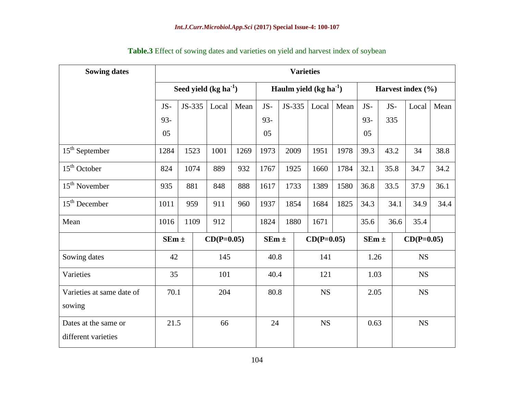| <b>Sowing dates</b>       | <b>Varieties</b>       |        |              |      |                           |        |           |           |                       |              |           |      |
|---------------------------|------------------------|--------|--------------|------|---------------------------|--------|-----------|-----------|-----------------------|--------------|-----------|------|
|                           | Seed yield $(kg ha-1)$ |        |              |      | Haulm yield $(kg ha-1)$   |        |           |           | Harvest index $(\% )$ |              |           |      |
|                           | JS-                    | JS-335 | Local        | Mean | JS-                       | JS-335 | Local     | Mean      | JS-                   | JS-          | Local     | Mean |
|                           | 93-                    |        |              |      | 93-                       |        |           |           | 93-                   | 335          |           |      |
|                           | 05                     |        |              |      | 05                        |        |           |           | 05                    |              |           |      |
| $15th$ September          | 1284                   | 1523   | 1001         | 1269 | 1973                      | 2009   | 1951      | 1978      | 39.3                  | 43.2         | 34        | 38.8 |
| $15th$ October            | 824                    | 1074   | 889          | 932  | 1767                      | 1925   | 1660      | 1784      | 32.1                  | 35.8         | 34.7      | 34.2 |
| $15th$ November           | 935                    | 881    | 848          | 888  | 1617                      | 1733   | 1389      | 1580      | 36.8                  | 33.5         | 37.9      | 36.1 |
| $15th$ December           | 1011                   | 959    | 911          | 960  | 1937                      | 1854   | 1684      | 1825      | 34.3                  | 34.1         | 34.9      | 34.4 |
| Mean                      | 1016                   | 1109   | 912          |      | 1824                      | 1880   | 1671      |           | 35.6                  | 36.6         | 35.4      |      |
|                           | $SEm \pm$              |        | $CD(P=0.05)$ |      | $CD(P=0.05)$<br>$SEm \pm$ |        |           | $SEm \pm$ |                       | $CD(P=0.05)$ |           |      |
| Sowing dates              | 42                     |        | 145          |      | 40.8                      |        | 141       |           | 1.26                  |              | <b>NS</b> |      |
| Varieties                 | 35                     |        | 101          |      | 40.4                      |        | 121       |           | 1.03                  |              | <b>NS</b> |      |
| Varieties at same date of | 70.1                   |        | 204          |      | 80.8                      |        | <b>NS</b> |           | 2.05                  |              | <b>NS</b> |      |
| sowing                    |                        |        |              |      |                           |        |           |           |                       |              |           |      |
| Dates at the same or      | 21.5                   | 66     |              |      | 24                        |        | <b>NS</b> |           | 0.63                  |              | <b>NS</b> |      |
| different varieties       |                        |        |              |      |                           |        |           |           |                       |              |           |      |

**Table.3** Effect of sowing dates and varieties on yield and harvest index of soybean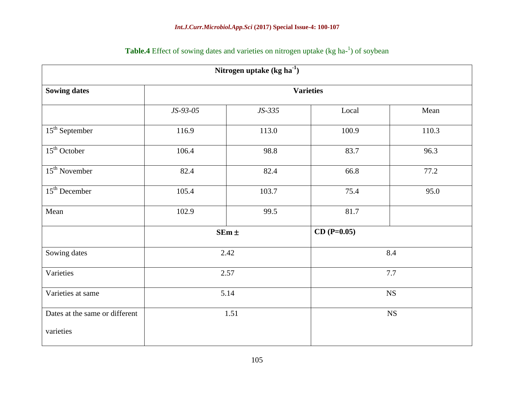| Nitrogen uptake (kg ha <sup>-1</sup> ) |                  |           |               |       |  |  |  |  |  |  |
|----------------------------------------|------------------|-----------|---------------|-------|--|--|--|--|--|--|
| <b>Sowing dates</b>                    | <b>Varieties</b> |           |               |       |  |  |  |  |  |  |
|                                        | $JS-93-05$       | $JS-335$  | Local         | Mean  |  |  |  |  |  |  |
| $15th$ September                       | 116.9            | 113.0     | 100.9         | 110.3 |  |  |  |  |  |  |
| $15th$ October                         | 106.4            | 98.8      | 83.7          | 96.3  |  |  |  |  |  |  |
| $15th$ November                        | 82.4             | 82.4      | 66.8          | 77.2  |  |  |  |  |  |  |
| $15th$ December                        | 105.4            | 103.7     | 75.4          | 95.0  |  |  |  |  |  |  |
| Mean                                   | 102.9            | 99.5      | 81.7          |       |  |  |  |  |  |  |
|                                        |                  | $SEm \pm$ | $CD (P=0.05)$ |       |  |  |  |  |  |  |
| Sowing dates                           |                  | 2.42      |               | 8.4   |  |  |  |  |  |  |
| Varieties                              |                  | 2.57      | $7.7\,$       |       |  |  |  |  |  |  |
| Varieties at same                      |                  | 5.14      | ${\rm NS}$    |       |  |  |  |  |  |  |
| Dates at the same or different         |                  | 1.51      | <b>NS</b>     |       |  |  |  |  |  |  |
| varieties                              |                  |           |               |       |  |  |  |  |  |  |

## **Table.4** Effect of sowing dates and varieties on nitrogen uptake (kg ha-<sup>1</sup>) of soybean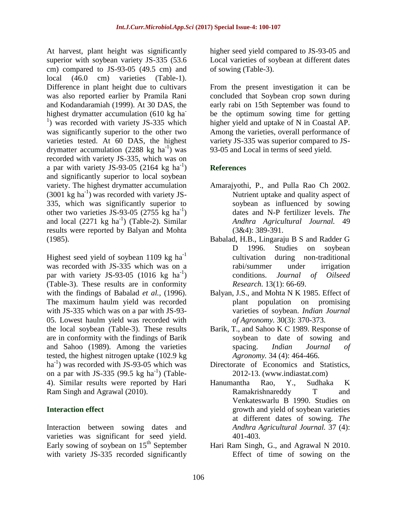At harvest, plant height was significantly superior with soybean variety JS-335 (53.6) cm) compared to JS-93-05 (49.5 cm) and local (46.0 cm) varieties (Table-1). Difference in plant height due to cultivars was also reported earlier by Pramila Rani and Kodandaramiah (1999). At 30 DAS, the highest drymatter accumulation (610 kg ha<sup>-</sup> <sup>1</sup>) was recorded with variety JS-335 which was significantly superior to the other two varieties tested. At 60 DAS, the highest drymatter accumulation (2288 kg ha<sup>-1</sup>) was recorded with variety JS-335, which was on a par with variety JS-93-05 (2164 kg  $ha^{-1}$ ) and significantly superior to local soybean variety. The highest drymatter accumulation  $(3001 \text{ kg ha}^{-1})$  was recorded with variety JS-335, which was significantly superior to other two varieties JS-93-05  $(2755 \text{ kg ha}^{-1})$ and local  $(2271 \text{ kg} \text{ ha}^{-1})$  (Table-2). Similar results were reported by Balyan and Mohta (1985).

Highest seed yield of soybean 1109 kg  $ha^{-1}$ was recorded with JS-335 which was on a par with variety JS-93-05 (1016 kg  $\text{ha}^{-1}$ ) (Table-3). These results are in conformity with the findings of Babalad *et al.,* (1996). The maximum haulm yield was recorded with JS-335 which was on a par with JS-93- 05. Lowest haulm yield was recorded with the local soybean (Table-3). These results are in conformity with the findings of Barik and Sahoo (1989). Among the varieties tested, the highest nitrogen uptake (102.9 kg ha<sup>-1</sup>) was recorded with JS-93-05 which was on a par with JS-335  $(99.5 \text{ kg ha}^{-1})$  (Table-4). Similar results were reported by Hari Ram Singh and Agrawal (2010).

### **Interaction effect**

Interaction between sowing dates and varieties was significant for seed yield. Early sowing of soybean on 15<sup>th</sup> September with variety JS-335 recorded significantly

higher seed yield compared to JS-93-05 and Local varieties of soybean at different dates of sowing (Table-3).

From the present investigation it can be concluded that Soybean crop sown during early rabi on 15th September was found to be the optimum sowing time for getting higher yield and uptake of N in Coastal AP. Among the varieties, overall performance of variety JS-335 was superior compared to JS-93-05 and Local in terms of seed yield.

### **References**

- Amarajyothi, P., and Pulla Rao Ch 2002. Nutrient uptake and quality aspect of soybean as influenced by sowing dates and N-P fertilizer levels. *The Andhra Agricultural Journal.* 49 (3&4): 389-391.
- Babalad, H.B., Lingaraju B S and Radder G D 1996. Studies on soybean cultivation during non-traditional rabi/summer under irrigation conditions. *Journal of Oilseed Research.* 13(1): 66-69.
- Balyan, J.S., and Mohta N K 1985. Effect of plant population on promising varieties of soybean. *Indian Journal of Agronomy.* 30(3): 370-373.
- Barik, T., and Sahoo K C 1989. Response of soybean to date of sowing and spacing. *Indian Journal of Agronomy.* 34 (4): 464-466.
- Directorate of Economics and Statistics, 2012-13. (www.indiastat.com)
- Hanumantha Rao, Y., Sudhaka K Ramakrishnareddy T and Venkateswarlu B 1990. Studies on growth and yield of soybean varieties at different dates of sowing. *The Andhra Agricultural Journal.* 37 (4): 401-403.
- Hari Ram Singh, G., and Agrawal N 2010. Effect of time of sowing on the